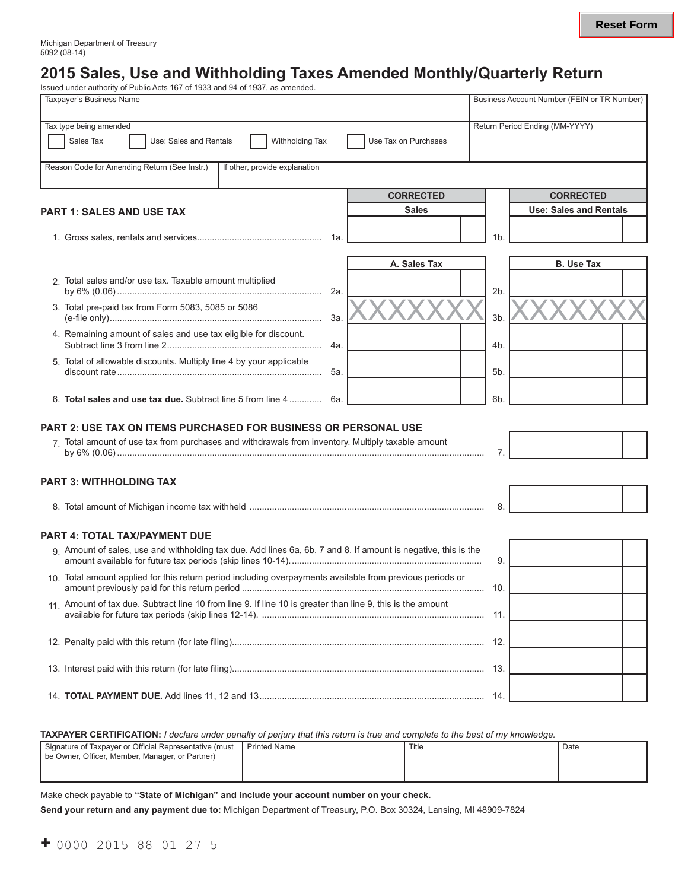# **2015 Sales, Use and Withholding Taxes Amended Monthly/Quarterly Return**

|                                | Issued under authority of Public Acts 167 of 1933 and 94 of 1937, as amended.                                  |                      |     |                                             |  |  |
|--------------------------------|----------------------------------------------------------------------------------------------------------------|----------------------|-----|---------------------------------------------|--|--|
|                                | <b>Taxpaver's Business Name</b>                                                                                |                      |     | Business Account Number (FEIN or TR Number) |  |  |
|                                |                                                                                                                |                      |     |                                             |  |  |
|                                | Tax type being amended                                                                                         |                      |     | Return Period Ending (MM-YYYY)              |  |  |
|                                | Sales Tax<br>Use: Sales and Rentals<br>Withholding Tax                                                         | Use Tax on Purchases |     |                                             |  |  |
|                                | Reason Code for Amending Return (See Instr.)<br>If other, provide explanation                                  |                      |     |                                             |  |  |
|                                |                                                                                                                |                      |     |                                             |  |  |
|                                |                                                                                                                | <b>CORRECTED</b>     |     | <b>CORRECTED</b>                            |  |  |
|                                | <b>PART 1: SALES AND USE TAX</b>                                                                               | <b>Sales</b>         |     | <b>Use: Sales and Rentals</b>               |  |  |
|                                |                                                                                                                |                      |     |                                             |  |  |
|                                | 1a.                                                                                                            |                      | 1b. |                                             |  |  |
|                                |                                                                                                                |                      |     |                                             |  |  |
|                                |                                                                                                                | A. Sales Tax         |     | <b>B.</b> Use Tax                           |  |  |
|                                | 2. Total sales and/or use tax. Taxable amount multiplied                                                       |                      |     |                                             |  |  |
|                                | 2a.                                                                                                            |                      | 2b. |                                             |  |  |
|                                | 3. Total pre-paid tax from Form 5083, 5085 or 5086<br>За.                                                      |                      | 3b. |                                             |  |  |
|                                | 4. Remaining amount of sales and use tax eligible for discount.                                                |                      |     |                                             |  |  |
|                                | 4a.                                                                                                            |                      | 4b. |                                             |  |  |
|                                | 5. Total of allowable discounts. Multiply line 4 by your applicable                                            |                      |     |                                             |  |  |
|                                | 5а.                                                                                                            |                      | 5b. |                                             |  |  |
|                                |                                                                                                                |                      |     |                                             |  |  |
|                                | 6. Total sales and use tax due. Subtract line 5 from line 4<br>6а.                                             |                      | 6b. |                                             |  |  |
|                                |                                                                                                                |                      |     |                                             |  |  |
|                                | <b>PART 2: USE TAX ON ITEMS PURCHASED FOR BUSINESS OR PERSONAL USE</b>                                         |                      |     |                                             |  |  |
|                                | 7. Total amount of use tax from purchases and withdrawals from inventory. Multiply taxable amount              |                      | 7.  |                                             |  |  |
|                                |                                                                                                                |                      |     |                                             |  |  |
| <b>PART 3: WITHHOLDING TAX</b> |                                                                                                                |                      |     |                                             |  |  |
|                                |                                                                                                                |                      |     |                                             |  |  |
|                                |                                                                                                                |                      | 8   |                                             |  |  |
|                                |                                                                                                                |                      |     |                                             |  |  |
|                                | <b>PART 4: TOTAL TAX/PAYMENT DUE</b>                                                                           |                      |     |                                             |  |  |
|                                | 9. Amount of sales, use and withholding tax due. Add lines 6a, 6b, 7 and 8. If amount is negative, this is the |                      | 9.  |                                             |  |  |
|                                |                                                                                                                |                      |     |                                             |  |  |
|                                | 10. Total amount applied for this return period including overpayments available from previous periods or      |                      | 10. |                                             |  |  |
|                                | 11. Amount of tax due. Subtract line 10 from line 9. If line 10 is greater than line 9, this is the amount     |                      |     |                                             |  |  |
|                                |                                                                                                                |                      |     |                                             |  |  |
|                                |                                                                                                                |                      |     |                                             |  |  |
|                                |                                                                                                                |                      |     |                                             |  |  |
|                                |                                                                                                                |                      |     |                                             |  |  |
|                                |                                                                                                                |                      |     |                                             |  |  |
|                                |                                                                                                                |                      | 14. |                                             |  |  |
|                                |                                                                                                                |                      |     |                                             |  |  |

**Taxpayer Certification:** *I declare under penalty of perjury that this return is true and complete to the best of my knowledge.*

| Signature of Taxpayer or Official Representative (must | <b>I</b> Printed Name | Title | Date |
|--------------------------------------------------------|-----------------------|-------|------|
| be Owner, Officer, Member, Manager, or Partner)        |                       |       |      |
|                                                        |                       |       |      |
|                                                        |                       |       |      |

Make check payable to **"State of Michigan" and include your account number on your check.** 

**Send your return and any payment due to:** Michigan Department of Treasury, P.O. Box 30324, Lansing, MI 48909-7824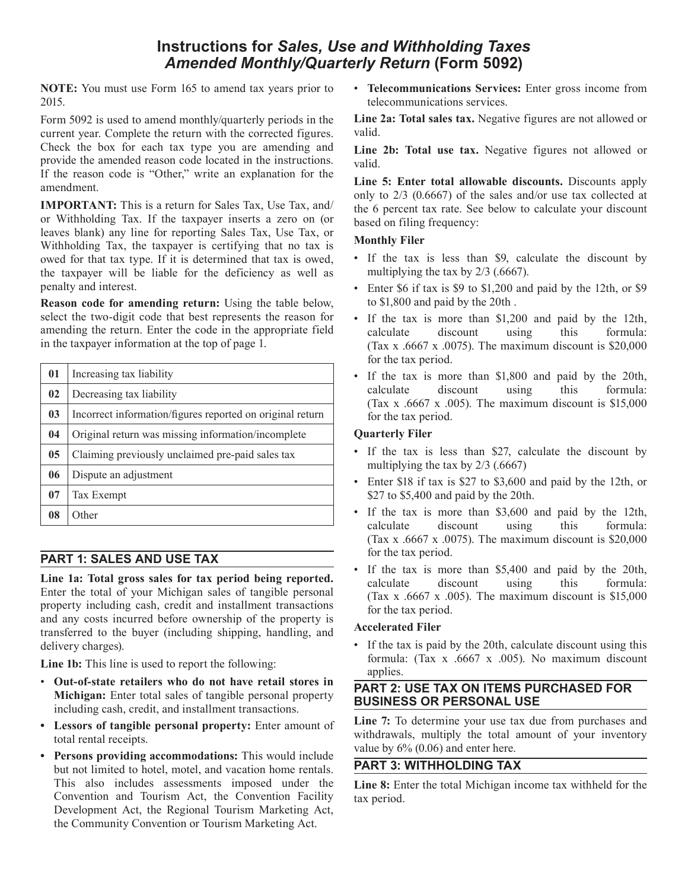## **Instructions for** *Sales, Use and Withholding Taxes Amended Monthly/Quarterly Return* **(Form 5092)**

**NOTE:** You must use Form 165 to amend tax years prior to 2015.

Form 5092 is used to amend monthly/quarterly periods in the current year. Complete the return with the corrected figures. Check the box for each tax type you are amending and provide the amended reason code located in the instructions. If the reason code is "Other," write an explanation for the amendment.

**IMPORTANT:** This is a return for Sales Tax, Use Tax, and/ or Withholding Tax. If the taxpayer inserts a zero on (or leaves blank) any line for reporting Sales Tax, Use Tax, or Withholding Tax, the taxpayer is certifying that no tax is owed for that tax type. If it is determined that tax is owed, the taxpayer will be liable for the deficiency as well as penalty and interest.

**Reason code for amending return:** Using the table below, select the two-digit code that best represents the reason for amending the return. Enter the code in the appropriate field in the taxpayer information at the top of page 1.

| 01             | Increasing tax liability                                  |
|----------------|-----------------------------------------------------------|
| 02             | Decreasing tax liability                                  |
| 0 <sub>3</sub> | Incorrect information/figures reported on original return |
| 04             | Original return was missing information/incomplete        |
| 0 <sub>5</sub> | Claiming previously unclaimed pre-paid sales tax          |
| 06             | Dispute an adjustment                                     |
| 07             | Tax Exempt                                                |
| 08             | Other                                                     |

## **PART 1: SALES AND USE TAX**

**Line 1a: Total gross sales for tax period being reported.** Enter the total of your Michigan sales of tangible personal property including cash, credit and installment transactions and any costs incurred before ownership of the property is transferred to the buyer (including shipping, handling, and delivery charges).

**Line 1b:** This line is used to report the following:

- • **Out-of-state retailers who do not have retail stores in Michigan:** Enter total sales of tangible personal property including cash, credit, and installment transactions.
- **• Lessors of tangible personal property:** Enter amount of total rental receipts.
- **• Persons providing accommodations:** This would include but not limited to hotel, motel, and vacation home rentals. This also includes assessments imposed under the Convention and Tourism Act, the Convention Facility Development Act, the Regional Tourism Marketing Act, the Community Convention or Tourism Marketing Act.

• **Telecommunications Services:** Enter gross income from telecommunications services.

**Line 2a: Total sales tax.** Negative figures are not allowed or valid.

Line 2b: Total use tax. Negative figures not allowed or valid.

**Line 5: Enter total allowable discounts.** Discounts apply only to 2/3 (0.6667) of the sales and/or use tax collected at the 6 percent tax rate. See below to calculate your discount based on filing frequency:

#### **Monthly Filer**

- If the tax is less than \$9, calculate the discount by multiplying the tax by 2/3 (.6667).
- Enter \$6 if tax is \$9 to \$1,200 and paid by the 12th, or \$9 to \$1,800 and paid by the 20th .
- If the tax is more than \$1,200 and paid by the 12th, calculate discount using this formula: (Tax x .6667 x .0075). The maximum discount is \$20,000 for the tax period.
- If the tax is more than \$1,800 and paid by the 20th, calculate discount using this formula: (Tax x  $.6667$  x  $.005$ ). The maximum discount is \$15,000 for the tax period.

#### **Quarterly Filer**

- If the tax is less than \$27, calculate the discount by multiplying the tax by 2/3 (.6667)
- Enter \$18 if tax is \$27 to \$3,600 and paid by the 12th, or \$27 to \$5,400 and paid by the 20th.
- If the tax is more than \$3,600 and paid by the 12th, calculate discount using this formula: (Tax x .6667 x .0075). The maximum discount is \$20,000 for the tax period.
- If the tax is more than \$5,400 and paid by the 20th, calculate discount using this formula: (Tax x  $.6667$  x  $.005$ ). The maximum discount is \$15,000 for the tax period.

#### **Accelerated Filer**

• If the tax is paid by the 20th, calculate discount using this formula: (Tax x .6667 x .005). No maximum discount applies.

#### **PART 2: USE TAX ON ITEMS PURCHASED FOR BUSINESS OR PERSONAL USE**

**Line 7:** To determine your use tax due from purchases and withdrawals, multiply the total amount of your inventory value by 6% (0.06) and enter here.

### **PART 3: WITHHOLDING TAX**

**Line 8:** Enter the total Michigan income tax withheld for the tax period.